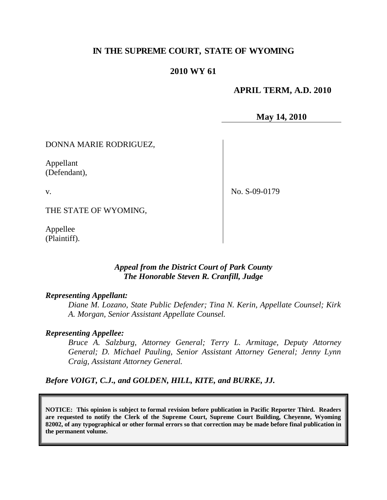# **IN THE SUPREME COURT, STATE OF WYOMING**

## **2010 WY 61**

## **APRIL TERM, A.D. 2010**

**May 14, 2010**

### DONNA MARIE RODRIGUEZ,

Appellant (Defendant),

v.

No. S-09-0179

THE STATE OF WYOMING,

Appellee (Plaintiff).

## *Appeal from the District Court of Park County The Honorable Steven R. Cranfill, Judge*

### *Representing Appellant:*

*Diane M. Lozano, State Public Defender; Tina N. Kerin, Appellate Counsel; Kirk A. Morgan, Senior Assistant Appellate Counsel.*

#### *Representing Appellee:*

*Bruce A. Salzburg, Attorney General; Terry L. Armitage, Deputy Attorney General; D. Michael Pauling, Senior Assistant Attorney General; Jenny Lynn Craig, Assistant Attorney General.*

*Before VOIGT, C.J., and GOLDEN, HILL, KITE, and BURKE, JJ.*

**NOTICE: This opinion is subject to formal revision before publication in Pacific Reporter Third. Readers are requested to notify the Clerk of the Supreme Court, Supreme Court Building, Cheyenne, Wyoming 82002, of any typographical or other formal errors so that correction may be made before final publication in the permanent volume.**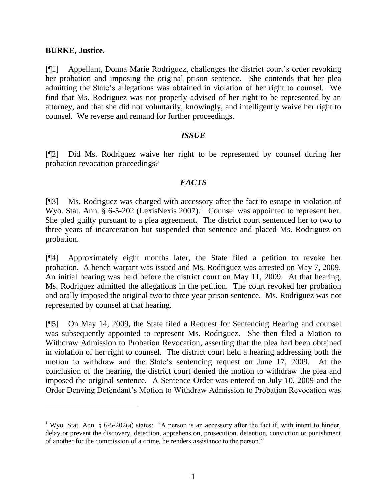### **BURKE, Justice.**

 $\overline{a}$ 

[¶1] Appellant, Donna Marie Rodriguez, challenges the district court's order revoking her probation and imposing the original prison sentence. She contends that her plea admitting the State's allegations was obtained in violation of her right to counsel. We find that Ms. Rodriguez was not properly advised of her right to be represented by an attorney, and that she did not voluntarily, knowingly, and intelligently waive her right to counsel. We reverse and remand for further proceedings.

## *ISSUE*

[¶2] Did Ms. Rodriguez waive her right to be represented by counsel during her probation revocation proceedings?

## *FACTS*

[¶3] Ms. Rodriguez was charged with accessory after the fact to escape in violation of Wyo. Stat. Ann.  $\S$  6-5-202 (LexisNexis 2007).<sup>1</sup> Counsel was appointed to represent her. She pled guilty pursuant to a plea agreement. The district court sentenced her to two to three years of incarceration but suspended that sentence and placed Ms. Rodriguez on probation.

[¶4] Approximately eight months later, the State filed a petition to revoke her probation. A bench warrant was issued and Ms. Rodriguez was arrested on May 7, 2009. An initial hearing was held before the district court on May 11, 2009. At that hearing, Ms. Rodriguez admitted the allegations in the petition. The court revoked her probation and orally imposed the original two to three year prison sentence. Ms. Rodriguez was not represented by counsel at that hearing.

[¶5] On May 14, 2009, the State filed a Request for Sentencing Hearing and counsel was subsequently appointed to represent Ms. Rodriguez. She then filed a Motion to Withdraw Admission to Probation Revocation, asserting that the plea had been obtained in violation of her right to counsel. The district court held a hearing addressing both the motion to withdraw and the State's sentencing request on June 17, 2009. At the conclusion of the hearing, the district court denied the motion to withdraw the plea and imposed the original sentence. A Sentence Order was entered on July 10, 2009 and the Order Denying Defendant's Motion to Withdraw Admission to Probation Revocation was

<sup>&</sup>lt;sup>1</sup> Wyo. Stat. Ann. § 6-5-202(a) states: "A person is an accessory after the fact if, with intent to hinder, delay or prevent the discovery, detection, apprehension, prosecution, detention, conviction or punishment of another for the commission of a crime, he renders assistance to the person."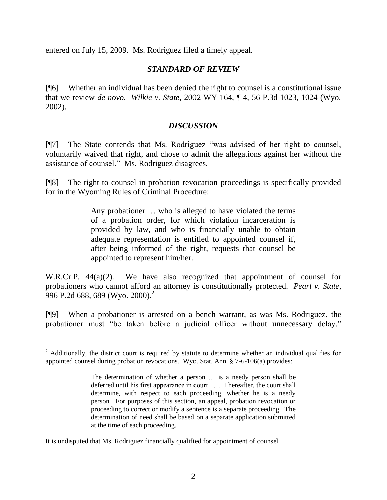entered on July 15, 2009. Ms. Rodriguez filed a timely appeal.

## *STANDARD OF REVIEW*

[¶6] Whether an individual has been denied the right to counsel is a constitutional issue that we review *de novo*. *Wilkie v. State*, 2002 WY 164, ¶ 4, 56 P.3d 1023, 1024 (Wyo. 2002).

## *DISCUSSION*

[¶7] The State contends that Ms. Rodriguez "was advised of her right to counsel, voluntarily waived that right, and chose to admit the allegations against her without the assistance of counsel." Ms. Rodriguez disagrees.

[¶8] The right to counsel in probation revocation proceedings is specifically provided for in the Wyoming Rules of Criminal Procedure:

> Any probationer … who is alleged to have violated the terms of a probation order, for which violation incarceration is provided by law, and who is financially unable to obtain adequate representation is entitled to appointed counsel if, after being informed of the right, requests that counsel be appointed to represent him/her.

W.R.Cr.P. 44(a)(2). We have also recognized that appointment of counsel for probationers who cannot afford an attorney is constitutionally protected. *Pearl v. State*, 996 P.2d 688, 689 (Wyo. 2000).<sup>2</sup>

[¶9] When a probationer is arrested on a bench warrant, as was Ms. Rodriguez, the probationer must "be taken before a judicial officer without unnecessary delay."

It is undisputed that Ms. Rodriguez financially qualified for appointment of counsel.

 $\overline{a}$ 

<sup>&</sup>lt;sup>2</sup> Additionally, the district court is required by statute to determine whether an individual qualifies for appointed counsel during probation revocations. Wyo. Stat. Ann. § 7-6-106(a) provides:

The determination of whether a person … is a needy person shall be deferred until his first appearance in court. … Thereafter, the court shall determine, with respect to each proceeding, whether he is a needy person. For purposes of this section, an appeal, probation revocation or proceeding to correct or modify a sentence is a separate proceeding. The determination of need shall be based on a separate application submitted at the time of each proceeding.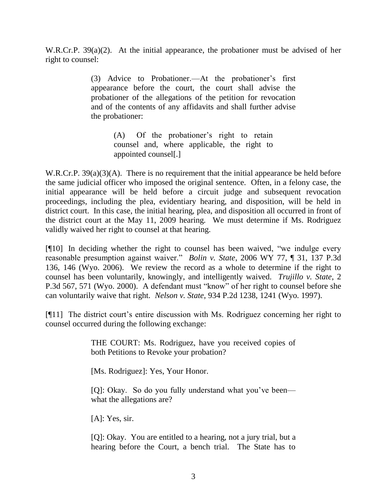W.R.Cr.P. 39(a)(2). At the initial appearance, the probationer must be advised of her right to counsel:

> (3) Advice to Probationer.—At the probationer's first appearance before the court, the court shall advise the probationer of the allegations of the petition for revocation and of the contents of any affidavits and shall further advise the probationer:

> > (A) Of the probationer's right to retain counsel and, where applicable, the right to appointed counsel[.]

W.R.Cr.P. 39(a)(3)(A). There is no requirement that the initial appearance be held before the same judicial officer who imposed the original sentence. Often, in a felony case, the initial appearance will be held before a circuit judge and subsequent revocation proceedings, including the plea, evidentiary hearing, and disposition, will be held in district court. In this case, the initial hearing, plea, and disposition all occurred in front of the district court at the May 11, 2009 hearing. We must determine if Ms. Rodriguez validly waived her right to counsel at that hearing.

[¶10] In deciding whether the right to counsel has been waived, "we indulge every reasonable presumption against waiver." *Bolin v. State*, 2006 WY 77, ¶ 31, 137 P.3d 136, 146 (Wyo. 2006). We review the record as a whole to determine if the right to counsel has been voluntarily, knowingly, and intelligently waived. *Trujillo v. State*, 2 P.3d 567, 571 (Wyo. 2000). A defendant must "know" of her right to counsel before she can voluntarily waive that right. *Nelson v. State*, 934 P.2d 1238, 1241 (Wyo. 1997).

[¶11] The district court's entire discussion with Ms. Rodriguez concerning her right to counsel occurred during the following exchange:

> THE COURT: Ms. Rodriguez, have you received copies of both Petitions to Revoke your probation?

[Ms. Rodriguez]: Yes, Your Honor.

[Q]: Okay. So do you fully understand what you've been what the allegations are?

[A]: Yes, sir.

[Q]: Okay. You are entitled to a hearing, not a jury trial, but a hearing before the Court, a bench trial. The State has to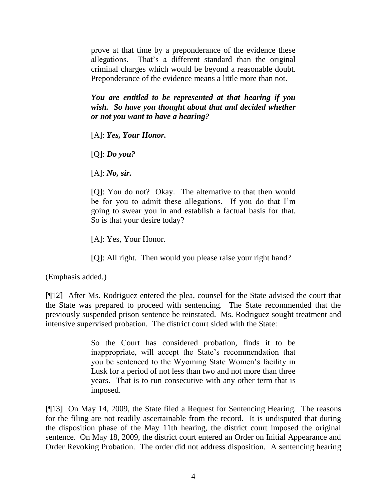prove at that time by a preponderance of the evidence these allegations. That's a different standard than the original criminal charges which would be beyond a reasonable doubt. Preponderance of the evidence means a little more than not.

*You are entitled to be represented at that hearing if you wish. So have you thought about that and decided whether or not you want to have a hearing?*

[A]: *Yes, Your Honor.*

[Q]: *Do you?*

[A]: *No, sir.*

[Q]: You do not? Okay. The alternative to that then would be for you to admit these allegations. If you do that I'm going to swear you in and establish a factual basis for that. So is that your desire today?

[A]: Yes, Your Honor.

[Q]: All right. Then would you please raise your right hand?

(Emphasis added.)

[¶12] After Ms. Rodriguez entered the plea, counsel for the State advised the court that the State was prepared to proceed with sentencing. The State recommended that the previously suspended prison sentence be reinstated. Ms. Rodriguez sought treatment and intensive supervised probation. The district court sided with the State:

> So the Court has considered probation, finds it to be inappropriate, will accept the State's recommendation that you be sentenced to the Wyoming State Women's facility in Lusk for a period of not less than two and not more than three years. That is to run consecutive with any other term that is imposed.

[¶13] On May 14, 2009, the State filed a Request for Sentencing Hearing. The reasons for the filing are not readily ascertainable from the record. It is undisputed that during the disposition phase of the May 11th hearing, the district court imposed the original sentence. On May 18, 2009, the district court entered an Order on Initial Appearance and Order Revoking Probation. The order did not address disposition. A sentencing hearing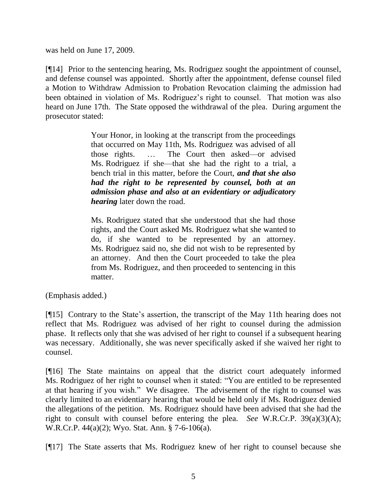was held on June 17, 2009.

[¶14] Prior to the sentencing hearing, Ms. Rodriguez sought the appointment of counsel, and defense counsel was appointed. Shortly after the appointment, defense counsel filed a Motion to Withdraw Admission to Probation Revocation claiming the admission had been obtained in violation of Ms. Rodriguez's right to counsel. That motion was also heard on June 17th. The State opposed the withdrawal of the plea. During argument the prosecutor stated:

> Your Honor, in looking at the transcript from the proceedings that occurred on May 11th, Ms. Rodriguez was advised of all those rights. … The Court then asked—or advised Ms. Rodriguez if she—that she had the right to a trial, a bench trial in this matter, before the Court, *and that she also had the right to be represented by counsel, both at an admission phase and also at an evidentiary or adjudicatory hearing* later down the road.

> Ms. Rodriguez stated that she understood that she had those rights, and the Court asked Ms. Rodriguez what she wanted to do, if she wanted to be represented by an attorney. Ms. Rodriguez said no, she did not wish to be represented by an attorney. And then the Court proceeded to take the plea from Ms. Rodriguez, and then proceeded to sentencing in this matter.

(Emphasis added.)

[¶15] Contrary to the State's assertion, the transcript of the May 11th hearing does not reflect that Ms. Rodriguez was advised of her right to counsel during the admission phase. It reflects only that she was advised of her right to counsel if a subsequent hearing was necessary. Additionally, she was never specifically asked if she waived her right to counsel.

[¶16] The State maintains on appeal that the district court adequately informed Ms. Rodriguez of her right to counsel when it stated: "You are entitled to be represented at that hearing if you wish." We disagree. The advisement of the right to counsel was clearly limited to an evidentiary hearing that would be held only if Ms. Rodriguez denied the allegations of the petition. Ms. Rodriguez should have been advised that she had the right to consult with counsel before entering the plea. *See* W.R.Cr.P. 39(a)(3)(A); W.R.Cr.P. 44(a)(2); Wyo. Stat. Ann. § 7-6-106(a).

[¶17] The State asserts that Ms. Rodriguez knew of her right to counsel because she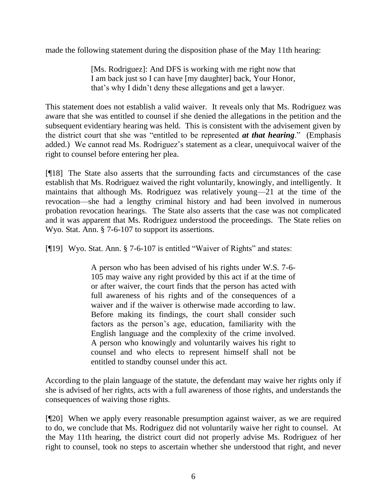made the following statement during the disposition phase of the May 11th hearing:

[Ms. Rodriguez]: And DFS is working with me right now that I am back just so I can have [my daughter] back, Your Honor, that's why I didn't deny these allegations and get a lawyer.

This statement does not establish a valid waiver. It reveals only that Ms. Rodriguez was aware that she was entitled to counsel if she denied the allegations in the petition and the subsequent evidentiary hearing was held. This is consistent with the advisement given by the district court that she was "entitled to be represented *at that hearing*." (Emphasis added.) We cannot read Ms. Rodriguez's statement as a clear, unequivocal waiver of the right to counsel before entering her plea.

[¶18] The State also asserts that the surrounding facts and circumstances of the case establish that Ms. Rodriguez waived the right voluntarily, knowingly, and intelligently. It maintains that although Ms. Rodriguez was relatively young—21 at the time of the revocation—she had a lengthy criminal history and had been involved in numerous probation revocation hearings. The State also asserts that the case was not complicated and it was apparent that Ms. Rodriguez understood the proceedings. The State relies on Wyo. Stat. Ann. § 7-6-107 to support its assertions.

[¶19] Wyo. Stat. Ann. § 7-6-107 is entitled "Waiver of Rights" and states:

A person who has been advised of his rights under W.S. 7-6- 105 may waive any right provided by this act if at the time of or after waiver, the court finds that the person has acted with full awareness of his rights and of the consequences of a waiver and if the waiver is otherwise made according to law. Before making its findings, the court shall consider such factors as the person's age, education, familiarity with the English language and the complexity of the crime involved. A person who knowingly and voluntarily waives his right to counsel and who elects to represent himself shall not be entitled to standby counsel under this act.

According to the plain language of the statute, the defendant may waive her rights only if she is advised of her rights, acts with a full awareness of those rights, and understands the consequences of waiving those rights.

[¶20] When we apply every reasonable presumption against waiver, as we are required to do, we conclude that Ms. Rodriguez did not voluntarily waive her right to counsel. At the May 11th hearing, the district court did not properly advise Ms. Rodriguez of her right to counsel, took no steps to ascertain whether she understood that right, and never